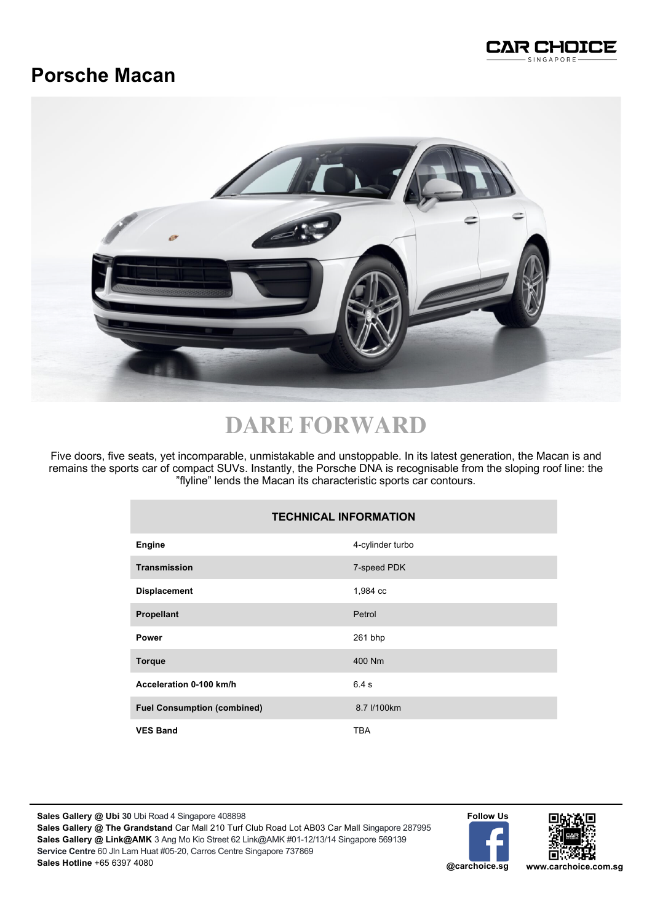

## **Porsche Macan**



# **DARE FORWARD**

Five doors, five seats, yet incomparable, unmistakable and unstoppable. In its latest generation, the Macan is and remains the sports car of compact SUVs. Instantly, the Porsche DNA is recognisable from the sloping roof line: the "flyline" lends the Macan its characteristic sports car contours.

| <b>TECHNICAL INFORMATION</b>       |                  |
|------------------------------------|------------------|
| Engine                             | 4-cylinder turbo |
| <b>Transmission</b>                | 7-speed PDK      |
| <b>Displacement</b>                | 1,984 cc         |
| <b>Propellant</b>                  | Petrol           |
| Power                              | 261 bhp          |
| <b>Torque</b>                      | 400 Nm           |
| Acceleration 0-100 km/h            | 6.4s             |
| <b>Fuel Consumption (combined)</b> | 8.7 l/100km      |
| <b>VES Band</b>                    | <b>TBA</b>       |

**Sales Gallery @ Ubi 30** Ubi Road 4 Singapore 408898 **Sales Gallery @ The Grandstand** Car Mall 210 Turf Club Road Lot AB03 Car Mall Singapore 287995 **Sales Gallery @ Link@AMK** 3 Ang Mo Kio Street 62 Link@AMK #01-12/13/14 Singapore 569139 **Service Centre** 60 Jln Lam Huat #05-20, Carros Centre Singapore 737869 **Sales Hotline** +65 6397 4080

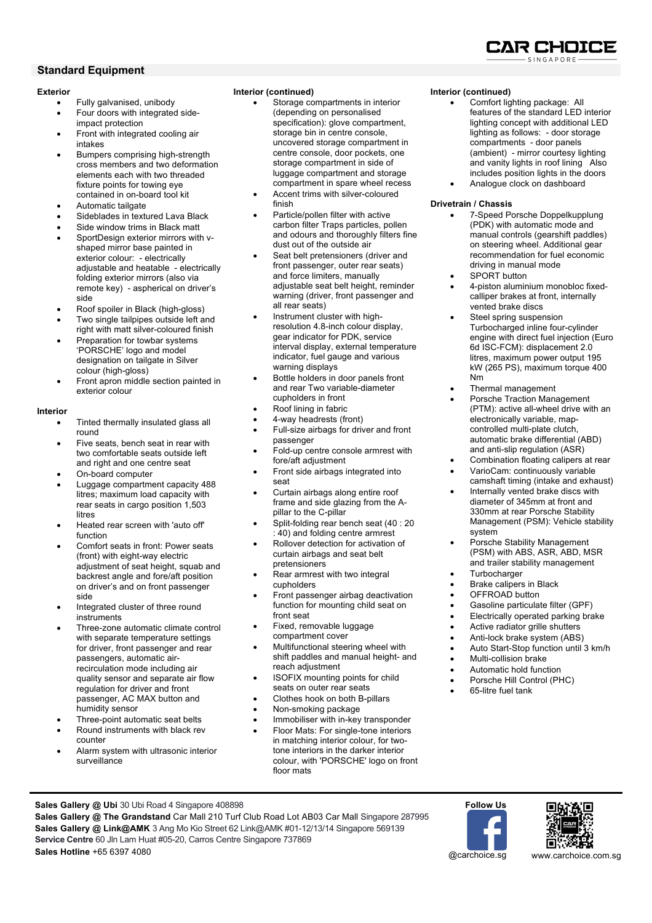#### **Standard Equipment**

#### **Exterior**

- Fully galvanised, unibody
- Four doors with integrated sideimpact protection
- Front with integrated cooling air intakes
- Bumpers comprising high-strength cross members and two deformation elements each with two threaded fixture points for towing eye contained in on-board tool kit
- Automatic tailgate
- Sideblades in textured Lava Black
- Side window trims in Black matt
- SportDesign exterior mirrors with vshaped mirror base painted in exterior colour: - electrically adjustable and heatable - electrically folding exterior mirrors (also via remote key) - aspherical on driver's side
- Roof spoiler in Black (high-gloss)
- Two single tailpipes outside left and right with matt silver-coloured finish
- Preparation for towbar systems 'PORSCHE' logo and model designation on tailgate in Silver colour (high-gloss)
- Front apron middle section painted in exterior colour

#### **Interior**

- Tinted thermally insulated glass all round
- Five seats, bench seat in rear with two comfortable seats outside left and right and one centre seat
- On-board computer
- Luggage compartment capacity 488 litres; maximum load capacity with rear seats in cargo position 1,503 litres
- Heated rear screen with 'auto off' function
- Comfort seats in front: Power seats (front) with eight-way electric adjustment of seat height, squab and backrest angle and fore/aft position on driver's and on front passenger side
- Integrated cluster of three round instruments
- Three-zone automatic climate control with separate temperature settings for driver, front passenger and rear passengers, automatic airrecirculation mode including air quality sensor and separate air flow regulation for driver and front passenger, AC MAX button and humidity sensor
- Three-point automatic seat belts
- Round instruments with black rev counter
- Alarm system with ultrasonic interior surveillance

#### **Interior (continued)**

- Storage compartments in interior (depending on personalised specification): glove compartment, storage bin in centre console, uncovered storage compartment in centre console, door pockets, one storage compartment in side of luggage compartment and storage compartment in spare wheel recess
- Accent trims with silver-coloured finish
- Particle/pollen filter with active carbon filter Traps particles, pollen and odours and thoroughly filters fine dust out of the outside air
- Seat belt pretensioners (driver and front passenger, outer rear seats) and force limiters, manually adjustable seat belt height, reminder warning (driver, front passenger and all rear seats)
- Instrument cluster with highresolution 4.8-inch colour display, gear indicator for PDK, service interval display, external temperature indicator, fuel gauge and various warning displays
- Bottle holders in door panels front and rear Two variable-diameter cupholders in front
- Roof lining in fabric
- 4-way headrests (front) • Full-size airbags for driver and front
- passenger • Fold-up centre console armrest with
- fore/aft adjustment • Front side airbags integrated into seat
- Curtain airbags along entire roof frame and side glazing from the Apillar to the C-pillar
- Split-folding rear bench seat (40 : 20 : 40) and folding centre armrest
- Rollover detection for activation of curtain airbags and seat belt pretensioners
- Rear armrest with two integral cupholders
- Front passenger airbag deactivation function for mounting child seat on front seat
- Fixed, removable luggage compartment cover
- Multifunctional steering wheel with shift paddles and manual height- and reach adjustment
- ISOFIX mounting points for child seats on outer rear seats
- Clothes hook on both B-pillars
- Non-smoking package
- Immobiliser with in-key transponder • Floor Mats: For single-tone interiors in matching interior colour, for twotone interiors in the darker interior colour, with 'PORSCHE' logo on front floor mats

#### **Interior (continued)**

- Comfort lighting package: All features of the standard LED interior lighting concept with additional LED lighting as follows: - door storage compartments - door panels (ambient) - mirror courtesy lighting and vanity lights in roof lining Also includes position lights in the doors
- Analogue clock on dashboard

#### **Drivetrain / Chassis**

- 7-Speed Porsche Doppelkupplung (PDK) with automatic mode and manual controls (gearshift paddles) on steering wheel. Additional gear recommendation for fuel economic driving in manual mode
- SPORT button
- 4-piston aluminium monobloc fixedcalliper brakes at front, internally vented brake discs
- Steel spring suspension Turbocharged inline four-cylinder engine with direct fuel injection (Euro 6d ISC-FCM): displacement 2.0 litres, maximum power output 195 kW (265 PS), maximum torque 400 Nm
- Thermal management
- Porsche Traction Management (PTM): active all-wheel drive with an electronically variable, mapcontrolled multi-plate clutch, automatic brake differential (ABD) and anti-slip regulation (ASR)
- Combination floating calipers at rear • VarioCam: continuously variable
- camshaft timing (intake and exhaust)
- Internally vented brake discs with diameter of 345mm at front and 330mm at rear Porsche Stability Management (PSM): Vehicle stability system
- Porsche Stability Management (PSM) with ABS, ASR, ABD, MSR and trailer stability management
- Turbocharger
- Brake calipers in Black
- OFFROAD button
- Gasoline particulate filter (GPF)
- Electrically operated parking brake
- Active radiator grille shutters
- Anti-lock brake system (ABS)
- Auto Start-Stop function until 3 km/h
- Multi-collision brake
- Automatic hold function
- Porsche Hill Control (PHC)
- 65-litre fuel tank

**Sales Gallery @ Ubi** 30 Ubi Road 4 Singapore 408898

**Sales Gallery @ The Grandstand** Car Mall 210 Turf Club Road Lot AB03 Car Mall Singapore 287995 **Sales Gallery @ Link@AMK** 3 Ang Mo Kio Street 62 Link@AMK #01-12/13/14 Singapore 569139 **Service Centre** 60 Jln Lam Huat #05-20, Carros Centre Singapore 737869 **Sales Hotline** +65 6397 4080





@carchoice.sg www.carchoice.com.sg

IAR CHOIC: